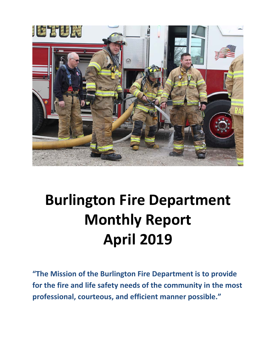

# **Burlington Fire Department Monthly Report April 2019**

**"The Mission of the Burlington Fire Department is to provide for the fire and life safety needs of the community in the most professional, courteous, and efficient manner possible."**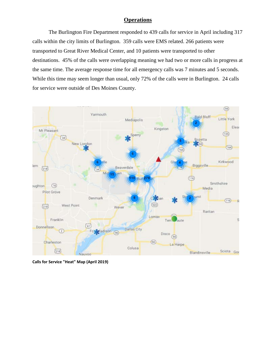### **Operations**

The Burlington Fire Department responded to 439 calls for service in April including 317 calls within the city limits of Burlington. 359 calls were EMS related. 266 patients were transported to Great River Medical Center, and 10 patients were transported to other destinations. 45% of the calls were overlapping meaning we had two or more calls in progress at the same time. The average response time for all emergency calls was 7 minutes and 5 seconds. While this time may seem longer than usual, only 72% of the calls were in Burlington. 24 calls for service were outside of Des Moines County.



**Calls for Service "Heat" Map (April 2019)**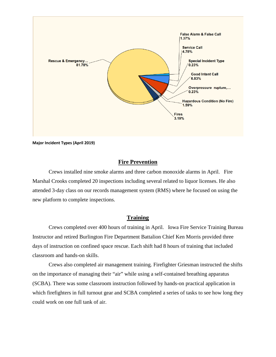

**Major Incident Types (April 2019)**

#### **Fire Prevention**

Crews installed nine smoke alarms and three carbon monoxide alarms in April. Fire Marshal Crooks completed 20 inspections including several related to liquor licenses. He also attended 3-day class on our records management system (RMS) where he focused on using the new platform to complete inspections.

#### **Training**

Crews completed over 400 hours of training in April. Iowa Fire Service Training Bureau Instructor and retired Burlington Fire Department Battalion Chief Ken Morris provided three days of instruction on confined space rescue. Each shift had 8 hours of training that included classroom and hands-on skills.

Crews also completed air management training. Firefighter Griesman instructed the shifts on the importance of managing their "air" while using a self-contained breathing apparatus (SCBA). There was some classroom instruction followed by hands-on practical application in which firefighters in full turnout gear and SCBA completed a series of tasks to see how long they could work on one full tank of air.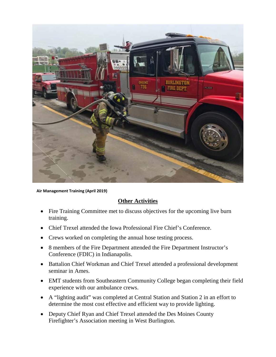

 **Air Management Training (April 2019)**

### **Other Activities**

- Fire Training Committee met to discuss objectives for the upcoming live burn training.
- Chief Trexel attended the Iowa Professional Fire Chief's Conference.
- Crews worked on completing the annual hose testing process.
- 8 members of the Fire Department attended the Fire Department Instructor's Conference (FDIC) in Indianapolis.
- Battalion Chief Workman and Chief Trexel attended a professional development seminar in Ames.
- EMT students from Southeastern Community College began completing their field experience with our ambulance crews.
- A "lighting audit" was completed at Central Station and Station 2 in an effort to determine the most cost effective and efficient way to provide lighting.
- Deputy Chief Ryan and Chief Trexel attended the Des Moines County Firefighter's Association meeting in West Burlington.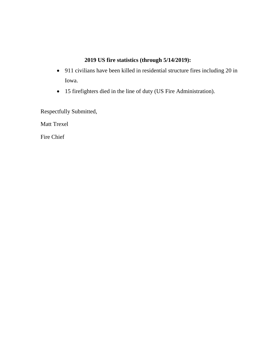### **2019 US fire statistics (through 5/14/2019):**

- 911 civilians have been killed in residential structure fires including 20 in Iowa.
- 15 firefighters died in the line of duty (US Fire Administration).

Respectfully Submitted,

Matt Trexel

Fire Chief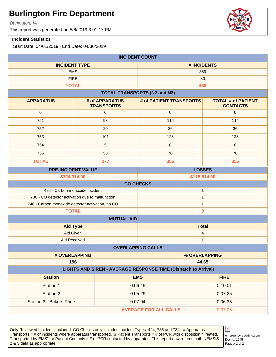Burlington, IA

This report was generated on 5/6/2019 3:01:17 PM

#### **Incident Statistics**

Start Date: 04/01/2019 | End Date: 04/30/2019

| <b>INCIDENT COUNT</b>                                          |                                         |                                     |                                         |               |                                              |
|----------------------------------------------------------------|-----------------------------------------|-------------------------------------|-----------------------------------------|---------------|----------------------------------------------|
| <b>INCIDENT TYPE</b>                                           |                                         | # INCIDENTS                         |                                         |               |                                              |
| <b>EMS</b>                                                     |                                         | 359                                 |                                         |               |                                              |
| <b>FIRE</b>                                                    |                                         |                                     | 80                                      |               |                                              |
|                                                                | <b>TOTAL</b>                            |                                     |                                         | 439           |                                              |
|                                                                |                                         |                                     | <b>TOTAL TRANSPORTS (N2 and N3)</b>     |               |                                              |
| <b>APPARATUS</b>                                               |                                         | # of APPARATUS<br><b>TRANSPORTS</b> | # of PATIENT TRANSPORTS                 |               | <b>TOTAL # of PATIENT</b><br><b>CONTACTS</b> |
| $\mathbf 0$                                                    |                                         | $\mathbf 0$                         | $\mathbf{0}$                            |               | $\mathbf{0}$                                 |
| 751                                                            |                                         | 93                                  | 114                                     |               | 114                                          |
| 752                                                            |                                         | 20                                  | 36                                      |               | 36                                           |
| 753                                                            |                                         | 101                                 | 128                                     |               | 128                                          |
| 754                                                            |                                         | 5                                   | 8                                       |               | 8                                            |
| 755                                                            |                                         | 58                                  | 70                                      |               | 70                                           |
| <b>TOTAL</b>                                                   |                                         | 277                                 | 356                                     |               | 356                                          |
|                                                                | <b>PRE-INCIDENT VALUE</b>               |                                     |                                         | <b>LOSSES</b> |                                              |
|                                                                | \$324,314.00<br>\$115,514.00            |                                     |                                         |               |                                              |
|                                                                |                                         |                                     | <b>CO CHECKS</b>                        |               |                                              |
| 424 - Carbon monoxide incident<br>$\mathbf{1}$                 |                                         |                                     |                                         |               |                                              |
| 736 - CO detector activation due to malfunction                |                                         |                                     | $\mathbf{1}$                            |               |                                              |
| 746 - Carbon monoxide detector activation, no CO               |                                         |                                     | $\mathbf{1}$                            |               |                                              |
| <b>TOTAL</b><br>$\overline{\mathbf{3}}$                        |                                         |                                     |                                         |               |                                              |
|                                                                |                                         | <b>MUTUAL AID</b>                   |                                         |               |                                              |
|                                                                | <b>Aid Type</b>                         |                                     | <b>Total</b>                            |               |                                              |
|                                                                | <b>Aid Given</b><br><b>Aid Received</b> |                                     | $\overline{\mathbf{r}}$<br>$\mathbf{1}$ |               |                                              |
|                                                                |                                         |                                     | <b>OVERLAPPING CALLS</b>                |               |                                              |
|                                                                | # OVERLAPPING                           |                                     |                                         | % OVERLAPPING |                                              |
|                                                                | 196                                     |                                     | 44.65                                   |               |                                              |
| LIGHTS AND SIREN - AVERAGE RESPONSE TIME (Dispatch to Arrival) |                                         |                                     |                                         |               |                                              |
| <b>Station</b>                                                 |                                         |                                     | <b>EMS</b>                              |               | <b>FIRE</b>                                  |
| Station 1                                                      |                                         |                                     | 0:06:45                                 |               | 0:10:01                                      |
| <b>Station 2</b>                                               |                                         |                                     | 0:05:29                                 |               | 0:07:25                                      |
| Station 3 - Bakers Pride                                       |                                         |                                     | 0:07:04                                 |               | 0:06:35                                      |
| <b>AVERAGE FOR ALL CALLS</b><br>0:07:05                        |                                         |                                     |                                         |               |                                              |

Only Reviewed Incidents included. CO Checks only includes Incident Types: 424, 736 and 734. # Apparatus Transports = # of incidents where apparatus transported. # Patient Transports = # of PCR with disposition "Treated, Transported by EMS". # Patient Contacts = # of PCR contacted by apparatus. This report now returns both NEMSIS 2 & 3 data as appropriate. The set of 2 set of 2 set of 2 set of 2 set of 2 set of 2 set of 2 set of 2 set of 2



Doc Id: 1645 emergencyreporting.com

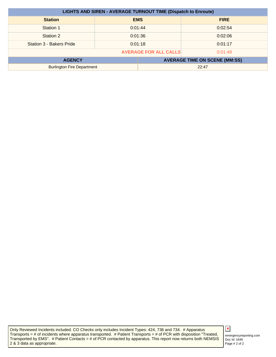| <b>LIGHTS AND SIREN - AVERAGE TURNOUT TIME (Dispatch to Enroute)</b> |                    |                                      |             |
|----------------------------------------------------------------------|--------------------|--------------------------------------|-------------|
| <b>Station</b>                                                       |                    | <b>EMS</b>                           | <b>FIRE</b> |
| Station 1                                                            |                    | 0:01:44                              | 0:02:54     |
| Station 2                                                            | 0:01:36<br>0:02:06 |                                      |             |
| Station 3 - Bakers Pride                                             |                    | 0:01:18                              | 0:01:17     |
| <b>AVERAGE FOR ALL CALLS</b><br>0:01:49                              |                    |                                      |             |
| <b>AGENCY</b>                                                        |                    | <b>AVERAGE TIME ON SCENE (MM:SS)</b> |             |
| <b>Burlington Fire Department</b>                                    |                    | 22:47                                |             |

Only Reviewed Incidents included. CO Checks only includes Incident Types: 424, 736 and 734. # Apparatus Transports = # of incidents where apparatus transported. # Patient Transports = # of PCR with disposition "Treated, Transported by EMS". # Patient Contacts = # of PCR contacted by apparatus. This report now returns both NEMSIS 2 & 3 data as appropriate.

Doc Id: 1645 emergencyreporting.com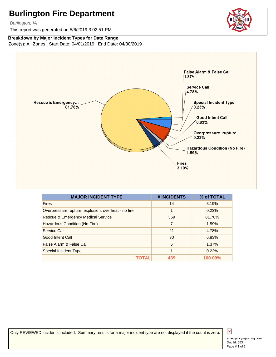Burlington, IA

This report was generated on 5/6/2019 3:02:51 PM

### **Breakdown by Major Incident Types for Date Range**

Zone(s): All Zones | Start Date: 04/01/2019 | End Date: 04/30/2019



| <b>MAJOR INCIDENT TYPE</b>                          | # INCIDENTS | % of TOTAL |
|-----------------------------------------------------|-------------|------------|
| <b>Fires</b>                                        | 14          | 3.19%      |
| Overpressure rupture, explosion, overheat - no fire |             | 0.23%      |
| <b>Rescue &amp; Emergency Medical Service</b>       | 359         | 81.78%     |
| Hazardous Condition (No Fire)                       | 7           | 1.59%      |
| Service Call                                        | 21          | 4.78%      |
| <b>Good Intent Call</b>                             | 30          | 6.83%      |
| False Alarm & False Call                            | 6           | 1.37%      |
| <b>Special Incident Type</b>                        |             | 0.23%      |
|                                                     | 439         | 100.00%    |

Only REVIEWED incidents included. Summary results for a major incident type are not displayed if the count is zero.



 $\vert x \vert$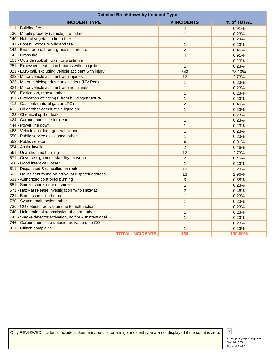| <b>Detailed Breakdown by Incident Type</b>               |                |         |
|----------------------------------------------------------|----------------|---------|
| # INCIDENTS<br>% of TOTAL<br><b>INCIDENT TYPE</b>        |                |         |
| 111 - Building fire                                      | $\overline{4}$ | 0.91%   |
| 130 - Mobile property (vehicle) fire, other              | 1              | 0.23%   |
| 140 - Natural vegetation fire, other                     | $\mathbf{1}$   | 0.23%   |
| 141 - Forest, woods or wildland fire                     | $\mathbf{1}$   | 0.23%   |
| 142 - Brush or brush-and-grass mixture fire              | $\overline{2}$ | 0.46%   |
| 143 - Grass fire                                         | $\overline{4}$ | 0.91%   |
| 151 - Outside rubbish, trash or waste fire               | $\mathbf{1}$   | 0.23%   |
| 251 - Excessive heat, scorch burns with no ignition      | $\mathbf{1}$   | 0.23%   |
| 321 - EMS call, excluding vehicle accident with injury   | 343            | 78.13%  |
| 322 - Motor vehicle accident with injuries               | 12             | 2.73%   |
| 323 - Motor vehicle/pedestrian accident (MV Ped)         | $\mathbf{1}$   | 0.23%   |
| 324 - Motor vehicle accident with no injuries.           | $\mathbf{1}$   | 0.23%   |
| 350 - Extrication, rescue, other                         | $\mathbf{1}$   | 0.23%   |
| 351 - Extrication of victim(s) from building/structure   | $\mathbf{1}$   | 0.23%   |
| 412 - Gas leak (natural gas or LPG)                      | $\overline{2}$ | 0.46%   |
| 413 - Oil or other combustible liquid spill              | $\mathbf{1}$   | 0.23%   |
| 422 - Chemical spill or leak                             | 1              | 0.23%   |
| 424 - Carbon monoxide incident                           | $\mathbf{1}$   | 0.23%   |
| 444 - Power line down                                    | $\mathbf{1}$   | 0.23%   |
| 463 - Vehicle accident, general cleanup                  | $\mathbf{1}$   | 0.23%   |
| 550 - Public service assistance, other                   | $\mathbf{1}$   | 0.23%   |
| 553 - Public service                                     | $\overline{4}$ | 0.91%   |
| 554 - Assist invalid                                     | 2              | 0.46%   |
| 561 - Unauthorized burning                               | 12             | 2.73%   |
| 571 - Cover assignment, standby, moveup                  | $\overline{2}$ | 0.46%   |
| 600 - Good intent call, other                            | $\mathbf{1}$   | 0.23%   |
| 611 - Dispatched & cancelled en route                    | 10             | 2.28%   |
| 622 - No incident found on arrival at dispatch address   | 13             | 2.96%   |
| 631 - Authorized controlled burning                      | 3              | 0.68%   |
| 651 - Smoke scare, odor of smoke                         | $\mathbf{1}$   | 0.23%   |
| 671 - HazMat release investigation w/no HazMat           | $\overline{2}$ | 0.46%   |
| 721 - Bomb scare - no bomb                               | $\mathbf{1}$   | 0.23%   |
| 730 - System malfunction, other                          | $\mathbf{1}$   | 0.23%   |
| 736 - CO detector activation due to malfunction          | $\mathbf{1}$   | 0.23%   |
| 740 - Unintentional transmission of alarm, other         | $\mathbf{1}$   | 0.23%   |
| 743 - Smoke detector activation, no fire - unintentional | $\mathbf{1}$   | 0.23%   |
| 746 - Carbon monoxide detector activation, no CO         | $\mathbf{1}$   | 0.23%   |
| 911 - Citizen complaint                                  | 1              | 0.23%   |
| <b>TOTAL INCIDENTS:</b>                                  | 439            | 100.00% |

Only REVIEWED incidents included. Summary results for a major incident type are not displayed if the count is zero.

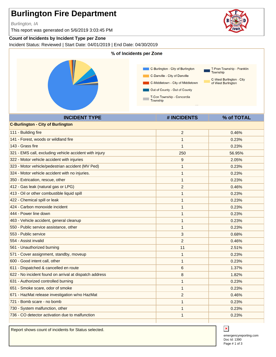Burlington, IA

This report was generated on 5/6/2019 3:03:45 PM

#### **Count of Incidents by Incident Type per Zone**

Incident Status: Reviewed | Start Date: 04/01/2019 | End Date: 04/30/2019



| <b>INCIDENT TYPE</b>                                   | # INCIDENTS    | % of TOTAL |
|--------------------------------------------------------|----------------|------------|
| <b>C-Burlington - City of Burlington</b>               |                |            |
| 111 - Building fire                                    | $\overline{c}$ | 0.46%      |
| 141 - Forest, woods or wildland fire                   | $\mathbf{1}$   | 0.23%      |
| 143 - Grass fire                                       | 1              | 0.23%      |
| 321 - EMS call, excluding vehicle accident with injury | 250            | 56.95%     |
| 322 - Motor vehicle accident with injuries             | 9              | 2.05%      |
| 323 - Motor vehicle/pedestrian accident (MV Ped)       | 1              | 0.23%      |
| 324 - Motor vehicle accident with no injuries.         | 1              | 0.23%      |
| 350 - Extrication, rescue, other                       | $\mathbf{1}$   | 0.23%      |
| 412 - Gas leak (natural gas or LPG)                    | $\overline{c}$ | 0.46%      |
| 413 - Oil or other combustible liquid spill            | 1              | 0.23%      |
| 422 - Chemical spill or leak                           | $\mathbf{1}$   | 0.23%      |
| 424 - Carbon monoxide incident                         | 1              | 0.23%      |
| 444 - Power line down                                  | 1              | 0.23%      |
| 463 - Vehicle accident, general cleanup                | 1              | 0.23%      |
| 550 - Public service assistance, other                 | $\mathbf{1}$   | 0.23%      |
| 553 - Public service                                   | 3              | 0.68%      |
| 554 - Assist invalid                                   | 2              | 0.46%      |
| 561 - Unauthorized burning                             | 11             | 2.51%      |
| 571 - Cover assignment, standby, moveup                | 1              | 0.23%      |
| 600 - Good intent call, other                          | 1              | 0.23%      |
| 611 - Dispatched & cancelled en route                  | 6              | 1.37%      |
| 622 - No incident found on arrival at dispatch address | 8              | 1.82%      |
| 631 - Authorized controlled burning                    | 1              | 0.23%      |
| 651 - Smoke scare, odor of smoke                       | $\mathbf{1}$   | 0.23%      |
| 671 - HazMat release investigation w/no HazMat         | $\overline{2}$ | 0.46%      |
| 721 - Bomb scare - no bomb                             | 1              | 0.23%      |
| 730 - System malfunction, other                        | 1              | 0.23%      |
| 736 - CO detector activation due to malfunction        | $\mathbf{1}$   | 0.23%      |
|                                                        |                |            |

Report shows count of incidents for Status selected.



Doc Id: 1390 emergencyreporting.com Page # 1 of 3

 $\mathbf x$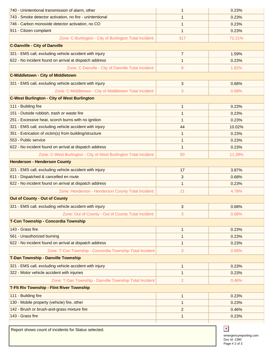| 740 - Unintentional transmission of alarm, other                  | $\mathbf 1$    | 0.23%  |
|-------------------------------------------------------------------|----------------|--------|
| 743 - Smoke detector activation, no fire - unintentional          | 1              | 0.23%  |
| 746 - Carbon monoxide detector activation, no CO                  | 1              | 0.23%  |
| 911 - Citizen complaint                                           | 1              | 0.23%  |
| Zone: C-Burlington - City of Burlington Total Incident:           | 317            | 72.21% |
| <b>C-Danville - City of Danville</b>                              |                |        |
| 321 - EMS call, excluding vehicle accident with injury            | 7              | 1.59%  |
| 622 - No incident found on arrival at dispatch address            | 1              | 0.23%  |
| Zone: C-Danville - City of Danville Total Incident:               | 8              | 1.82%  |
| <b>C-Middletown - City of Middletown</b>                          |                |        |
| 321 - EMS call, excluding vehicle accident with injury            | 3              | 0.68%  |
| Zone: C-Middletown - City of Middletown Total Incident:           | 3              | 0.68%  |
| <b>C-West Burlington - City of West Burlington</b>                |                |        |
| 111 - Building fire                                               | $\mathbf 1$    | 0.23%  |
| 151 - Outside rubbish, trash or waste fire                        | 1              | 0.23%  |
| 251 - Excessive heat, scorch burns with no ignition               | 1              | 0.23%  |
| 321 - EMS call, excluding vehicle accident with injury            | 44             | 10.02% |
| 351 - Extrication of victim(s) from building/structure            | 1              | 0.23%  |
| 553 - Public service                                              | 1              | 0.23%  |
| 622 - No incident found on arrival at dispatch address            | $\mathbf{1}$   | 0.23%  |
| Zone: C-West Burlington - City of West Burlington Total Incident: | 50             | 11.39% |
| <b>Henderson - Henderson County</b>                               |                |        |
| 321 - EMS call, excluding vehicle accident with injury            | 17             | 3.87%  |
| 611 - Dispatched & cancelled en route                             | 3              | 0.68%  |
| 622 - No incident found on arrival at dispatch address            | 1              | 0.23%  |
| Zone: Henderson - Henderson County Total Incident:                | 21             | 4.78%  |
| <b>Out of County - Out of County</b>                              |                |        |
| 321 - EMS call, excluding vehicle accident with injury            | 3              | 0.68%  |
| Zone: Out of County - Out of County Total Incident:               | 3              | 0.68%  |
| T-Con Township - Concordia Township                               |                |        |
| 143 - Grass fire                                                  | 1              | 0.23%  |
| 561 - Unauthorized burning                                        | 1              | 0.23%  |
| 622 - No incident found on arrival at dispatch address            | 1              | 0.23%  |
| Zone: T-Con Township - Concordia Township Total Incident:         | 3              | 0.68%  |
| T-Dan Township - Danville Township                                |                |        |
| 321 - EMS call, excluding vehicle accident with injury            | $\mathbf{1}$   | 0.23%  |
| 322 - Motor vehicle accident with injuries                        | 1              | 0.23%  |
| Zone: T-Dan Township - Danville Township Total Incident:          | 2              | 0.46%  |
| T-Flt Riv Township - Flint River Township                         |                |        |
| 111 - Building fire                                               | $\mathbf{1}$   | 0.23%  |
| 130 - Mobile property (vehicle) fire, other                       | 1              | 0.23%  |
| 142 - Brush or brush-and-grass mixture fire                       | $\overline{c}$ | 0.46%  |
| 143 - Grass fire                                                  | 1              | 0.23%  |
|                                                                   |                |        |

Report shows count of incidents for Status selected.

Doc Id: 1390 emergencyreporting.com Page # 2 of 3

 $\pmb{\times}$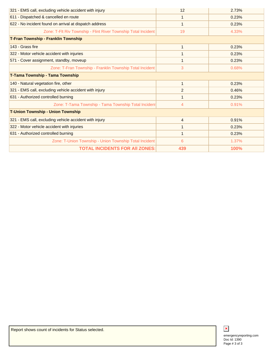| 321 - EMS call, excluding vehicle accident with injury          | 12             | 2.73% |
|-----------------------------------------------------------------|----------------|-------|
| 611 - Dispatched & cancelled en route                           | 1              | 0.23% |
| 622 - No incident found on arrival at dispatch address          | 1              | 0.23% |
| Zone: T-Flt Riv Township - Flint River Township Total Incident: | 19             | 4.33% |
| T-Fran Township - Franklin Township                             |                |       |
| 143 - Grass fire                                                | 1              | 0.23% |
| 322 - Motor vehicle accident with injuries                      | 1              | 0.23% |
| 571 - Cover assignment, standby, moveup                         | 1              | 0.23% |
| Zone: T-Fran Township - Franklin Township Total Incident:       | 3              | 0.68% |
| T-Tama Township - Tama Township                                 |                |       |
| 140 - Natural vegetation fire, other                            | 1              | 0.23% |
| 321 - EMS call, excluding vehicle accident with injury          | 2              | 0.46% |
| 631 - Authorized controlled burning                             | 1              | 0.23% |
| Zone: T-Tama Township - Tama Township Total Incident            | 4              | 0.91% |
| <b>T-Union Township - Union Township</b>                        |                |       |
| 321 - EMS call, excluding vehicle accident with injury          | $\overline{4}$ | 0.91% |
| 322 - Motor vehicle accident with injuries                      | 1              | 0.23% |
| 631 - Authorized controlled burning                             | 1              | 0.23% |
| Zone: T-Union Township - Union Township Total Incident:         | 6              | 1.37% |
| <b>TOTAL INCIDENTS FOR AII ZONES:</b>                           | 439            | 100%  |



Doc Id: 1390 emergencyreporting.com Page # 3 of 3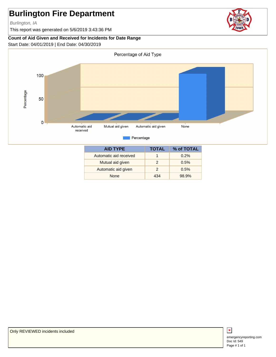Burlington, IA

This report was generated on 5/6/2019 3:43:36 PM

### **Count of Aid Given and Received for Incidents for Date Range**

Start Date: 04/01/2019 | End Date: 04/30/2019



| <b>AID TYPE</b>        | TOTAL | % of TOTAL |
|------------------------|-------|------------|
| Automatic aid received |       | 0.2%       |
| Mutual aid given       | 2     | 0.5%       |
| Automatic aid given    | 2     | 0.5%       |
| <b>None</b>            | 434   | 98.9%      |

 $\overline{\mathbf{x}}$ 

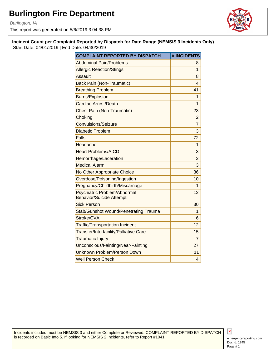Burlington, IA

This report was generated on 5/6/2019 3:04:38 PM



**Incident Count per Complaint Reported by Dispatch for Date Range (NEMSIS 3 Incidents Only)** Start Date: 04/01/2019 | End Date: 04/30/2019

| <b>COMPLAINT REPORTED BY DISPATCH</b>                           | # INCIDENTS    |
|-----------------------------------------------------------------|----------------|
| <b>Abdominal Pain/Problems</b>                                  | 8              |
| <b>Allergic Reaction/Stings</b>                                 | 1              |
| <b>Assault</b>                                                  | 8              |
| <b>Back Pain (Non-Traumatic)</b>                                | 4              |
| <b>Breathing Problem</b>                                        | 41             |
| <b>Burns/Explosion</b>                                          | 1              |
| <b>Cardiac Arrest/Death</b>                                     | 1              |
| <b>Chest Pain (Non-Traumatic)</b>                               | 23             |
| Choking                                                         | $\overline{c}$ |
| <b>Convulsions/Seizure</b>                                      | $\overline{7}$ |
| <b>Diabetic Problem</b>                                         | 3              |
| Falls                                                           | 72             |
| Headache                                                        | 1              |
| <b>Heart Problems/AICD</b>                                      | 3              |
| Hemorrhage/Laceration                                           | $\overline{2}$ |
| <b>Medical Alarm</b>                                            | 3              |
| No Other Appropriate Choice                                     | 36             |
| Overdose/Poisoning/Ingestion                                    | 10             |
| Pregnancy/Childbirth/Miscarriage                                | 1              |
| Psychiatric Problem/Abnormal<br><b>Behavior/Suicide Attempt</b> | 12             |
| <b>Sick Person</b>                                              | 30             |
| <b>Stab/Gunshot Wound/Penetrating Trauma</b>                    | 1              |
| Stroke/CVA                                                      | 6              |
| <b>Traffic/Transportation Incident</b>                          | 12             |
| Transfer/Interfacility/Palliative Care                          | 15             |
| <b>Traumatic Injury</b>                                         | $\overline{7}$ |
| Unconscious/Fainting/Near-Fainting                              | 27             |
| <b>Unknown Problem/Person Down</b>                              | 11             |
| <b>Well Person Check</b>                                        | $\overline{4}$ |

Incidents included must be NEMSIS 3 and either Complete or Reviewed. COMPLAINT REPORTED BY DISPATCH is recorded on Basic Info 5. If looking for NEMSIS 2 Incidents, refer to Report #1041.

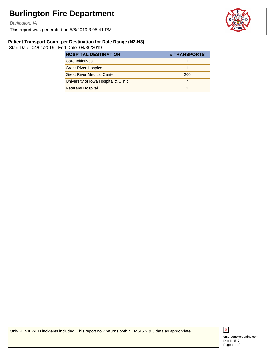Burlington, IA

This report was generated on 5/6/2019 3:05:41 PM



#### **Patient Transport Count per Destination for Date Range (N2-N3)**

Start Date: 04/01/2019 | End Date: 04/30/2019

| <b>HOSPITAL DESTINATION</b>          | # TRANSPORTS |
|--------------------------------------|--------------|
| <b>Care Initiatives</b>              |              |
| <b>Great River Hospice</b>           |              |
| <b>Great River Medical Center</b>    | 266          |
| University of Iowa Hospital & Clinic |              |
| <b>Veterans Hospital</b>             |              |

Only REVIEWED incidents included. This report now returns both NEMSIS 2 & 3 data as appropriate.



Doc Id: 517 emergencyreporting.com Page # 1 of 1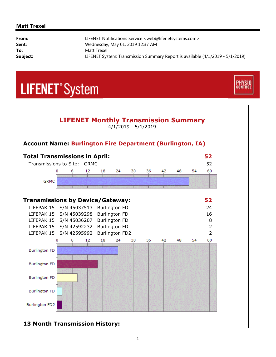#### **Matt Trexel**

i,

| From:    | LIFENET Notifications Service <web@lifenetsystems.com></web@lifenetsystems.com> |
|----------|---------------------------------------------------------------------------------|
| Sent:    | Wednesday, May 01, 2019 12:37 AM                                                |
| To:      | Matt Trexel                                                                     |
| Subject: | LIFENET System: Transmission Summary Report is available (4/1/2019 - 5/1/2019)  |

**PHYSIO**<br>CONTROL

## **LIFENET**<sup>\*</sup>System



### **13 Month Transmission History:**